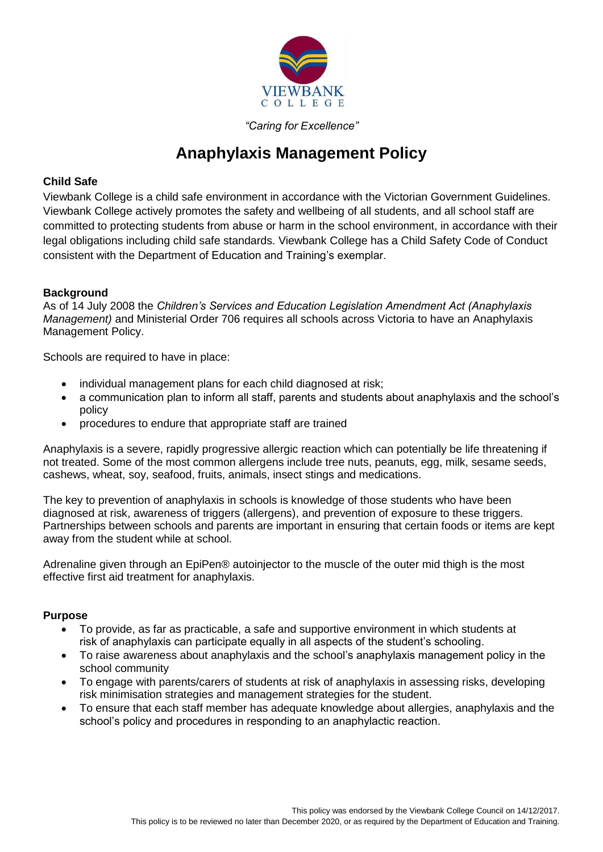

# *"Caring for Excellence"*

# **Anaphylaxis Management Policy**

# **Child Safe**

Viewbank College is a child safe environment in accordance with the Victorian Government Guidelines. Viewbank College actively promotes the safety and wellbeing of all students, and all school staff are committed to protecting students from abuse or harm in the school environment, in accordance with their legal obligations including child safe standards. Viewbank College has a Child Safety Code of Conduct consistent with the Department of Education and Training's exemplar.

## **Background**

As of 14 July 2008 the *Children's Services and Education Legislation Amendment Act (Anaphylaxis Management)* and Ministerial Order 706 requires all schools across Victoria to have an Anaphylaxis Management Policy.

Schools are required to have in place:

- individual management plans for each child diagnosed at risk;
- a communication plan to inform all staff, parents and students about anaphylaxis and the school's policy
- procedures to endure that appropriate staff are trained

Anaphylaxis is a severe, rapidly progressive allergic reaction which can potentially be life threatening if not treated. Some of the most common allergens include tree nuts, peanuts, egg, milk, sesame seeds, cashews, wheat, soy, seafood, fruits, animals, insect stings and medications.

The key to prevention of anaphylaxis in schools is knowledge of those students who have been diagnosed at risk, awareness of triggers (allergens), and prevention of exposure to these triggers. Partnerships between schools and parents are important in ensuring that certain foods or items are kept away from the student while at school.

Adrenaline given through an EpiPen® autoinjector to the muscle of the outer mid thigh is the most effective first aid treatment for anaphylaxis.

## **Purpose**

- To provide, as far as practicable, a safe and supportive environment in which students at risk of anaphylaxis can participate equally in all aspects of the student's schooling.
- To raise awareness about anaphylaxis and the school's anaphylaxis management policy in the school community
- To engage with parents/carers of students at risk of anaphylaxis in assessing risks, developing risk minimisation strategies and management strategies for the student.
- To ensure that each staff member has adequate knowledge about allergies, anaphylaxis and the school's policy and procedures in responding to an anaphylactic reaction.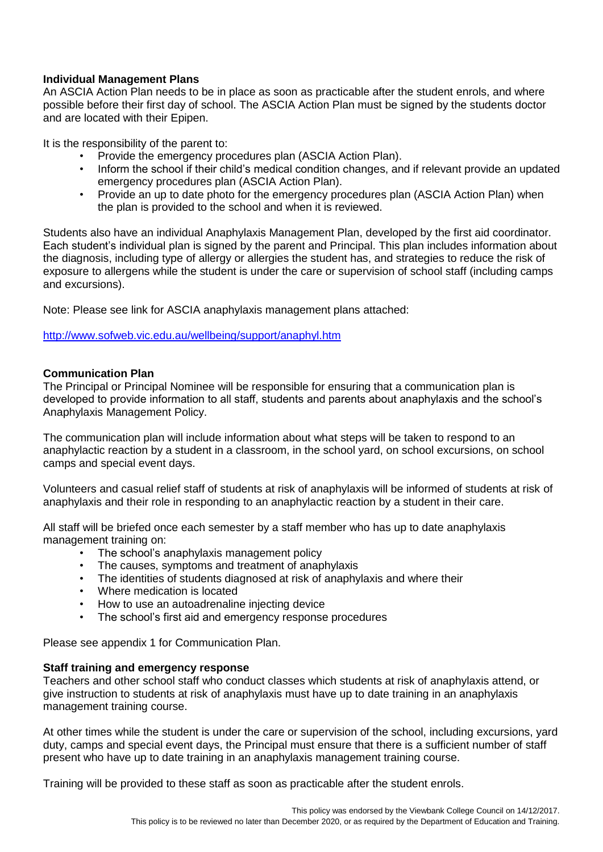## **Individual Management Plans**

An ASCIA Action Plan needs to be in place as soon as practicable after the student enrols, and where possible before their first day of school. The ASCIA Action Plan must be signed by the students doctor and are located with their Epipen.

It is the responsibility of the parent to:

- Provide the emergency procedures plan (ASCIA Action Plan).
- Inform the school if their child's medical condition changes, and if relevant provide an updated emergency procedures plan (ASCIA Action Plan).
- Provide an up to date photo for the emergency procedures plan (ASCIA Action Plan) when the plan is provided to the school and when it is reviewed.

Students also have an individual Anaphylaxis Management Plan, developed by the first aid coordinator. Each student's individual plan is signed by the parent and Principal. This plan includes information about the diagnosis, including type of allergy or allergies the student has, and strategies to reduce the risk of exposure to allergens while the student is under the care or supervision of school staff (including camps and excursions).

Note: Please see link for ASCIA anaphylaxis management plans attached:

<http://www.sofweb.vic.edu.au/wellbeing/support/anaphyl.htm>

# **Communication Plan**

The Principal or Principal Nominee will be responsible for ensuring that a communication plan is developed to provide information to all staff, students and parents about anaphylaxis and the school's Anaphylaxis Management Policy.

The communication plan will include information about what steps will be taken to respond to an anaphylactic reaction by a student in a classroom, in the school yard, on school excursions, on school camps and special event days.

Volunteers and casual relief staff of students at risk of anaphylaxis will be informed of students at risk of anaphylaxis and their role in responding to an anaphylactic reaction by a student in their care.

All staff will be briefed once each semester by a staff member who has up to date anaphylaxis management training on:

- The school's anaphylaxis management policy
- The causes, symptoms and treatment of anaphylaxis
- The identities of students diagnosed at risk of anaphylaxis and where their
- Where medication is located
- How to use an autoadrenaline injecting device
- The school's first aid and emergency response procedures

Please see appendix 1 for Communication Plan.

## **Staff training and emergency response**

Teachers and other school staff who conduct classes which students at risk of anaphylaxis attend, or give instruction to students at risk of anaphylaxis must have up to date training in an anaphylaxis management training course.

At other times while the student is under the care or supervision of the school, including excursions, yard duty, camps and special event days, the Principal must ensure that there is a sufficient number of staff present who have up to date training in an anaphylaxis management training course.

Training will be provided to these staff as soon as practicable after the student enrols.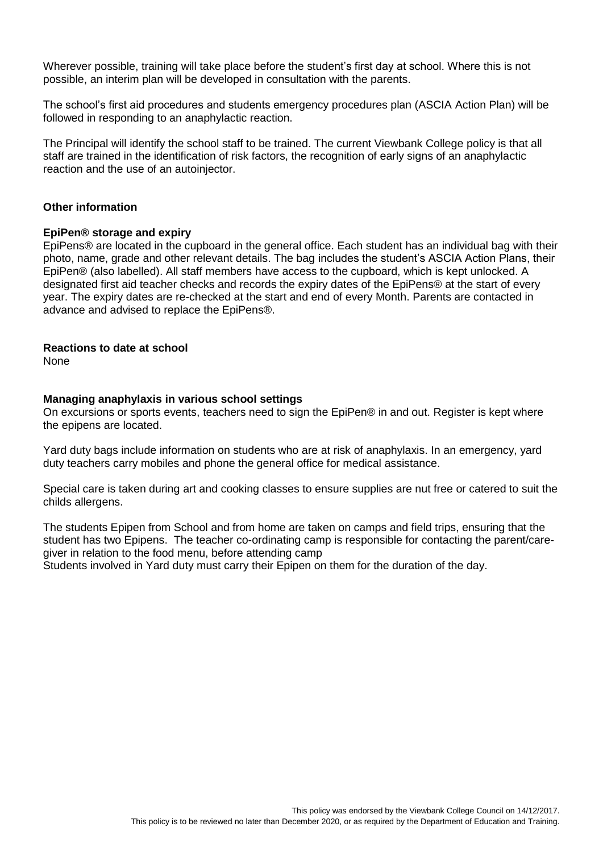Wherever possible, training will take place before the student's first day at school. Where this is not possible, an interim plan will be developed in consultation with the parents.

The school's first aid procedures and students emergency procedures plan (ASCIA Action Plan) will be followed in responding to an anaphylactic reaction.

The Principal will identify the school staff to be trained. The current Viewbank College policy is that all staff are trained in the identification of risk factors, the recognition of early signs of an anaphylactic reaction and the use of an autoinjector.

#### **Other information**

#### **EpiPen® storage and expiry**

EpiPens® are located in the cupboard in the general office. Each student has an individual bag with their photo, name, grade and other relevant details. The bag includes the student's ASCIA Action Plans, their EpiPen® (also labelled). All staff members have access to the cupboard, which is kept unlocked. A designated first aid teacher checks and records the expiry dates of the EpiPens® at the start of every year. The expiry dates are re-checked at the start and end of every Month. Parents are contacted in advance and advised to replace the EpiPens®.

#### **Reactions to date at school**

None

#### **Managing anaphylaxis in various school settings**

On excursions or sports events, teachers need to sign the EpiPen® in and out. Register is kept where the epipens are located.

Yard duty bags include information on students who are at risk of anaphylaxis. In an emergency, yard duty teachers carry mobiles and phone the general office for medical assistance.

Special care is taken during art and cooking classes to ensure supplies are nut free or catered to suit the childs allergens.

The students Epipen from School and from home are taken on camps and field trips, ensuring that the student has two Epipens. The teacher co-ordinating camp is responsible for contacting the parent/caregiver in relation to the food menu, before attending camp Students involved in Yard duty must carry their Epipen on them for the duration of the day.